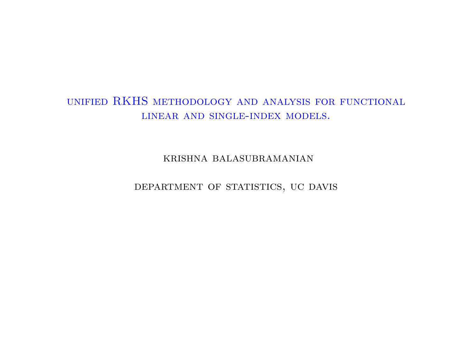## unified RKHS methodology and analysis for functional linear and single-index models.

krishna balasubramanian

DEPARTMENT OF STATISTICS, UC DAVIS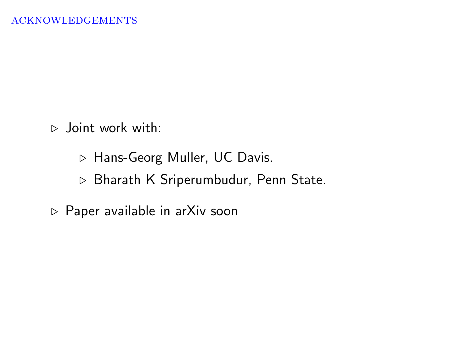$\triangleright$  Joint work with:

. Hans-Georg Muller, UC Davis.

. Bharath K Sriperumbudur, Penn State.

 $\triangleright$  Paper available in arXiv soon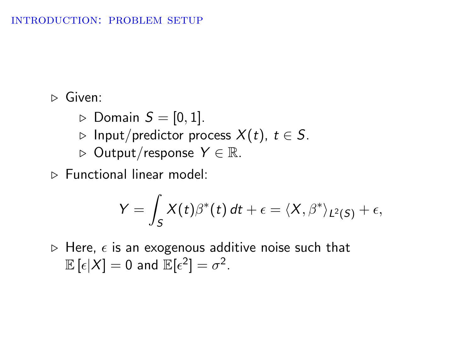#### introduction: problem setup

 $\triangleright$  Given:

- $\triangleright$  Domain  $S = [0, 1]$ .
- ⊳ Input/predictor process  $X(t)$ ,  $t \in S$ .
- $\rhd$  Output/response  $Y \in \mathbb{R}$ .
- . Functional linear model:

$$
Y = \int_S X(t) \beta^*(t) dt + \epsilon = \langle X, \beta^* \rangle_{L^2(S)} + \epsilon,
$$

 $\triangleright$  Here,  $\epsilon$  is an exogenous additive noise such that  $\mathbb{E}\left[\epsilon|X\right]=0$  and  $\mathbb{E}[\epsilon^2]=\sigma^2.$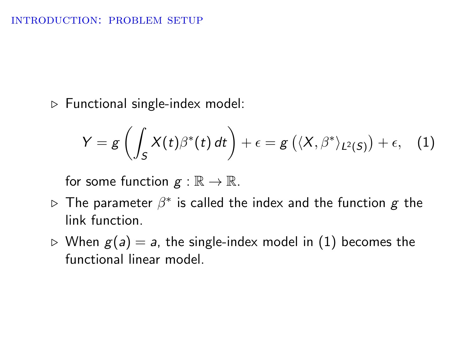$\triangleright$  Functional single-index model:

<span id="page-3-0"></span>
$$
Y = g\left(\int_S X(t)\beta^*(t) dt\right) + \epsilon = g\left(\langle X, \beta^*\rangle_{L^2(S)}\right) + \epsilon, \quad (1)
$$

for some function  $g : \mathbb{R} \to \mathbb{R}$ .

- $\triangleright$  The parameter  $\beta^*$  is called the index and the function  $\boldsymbol{g}$  the link function.
- $\triangleright$  When  $g(a) = a$ , the single-index model in [\(1\)](#page-3-0) becomes the functional linear model.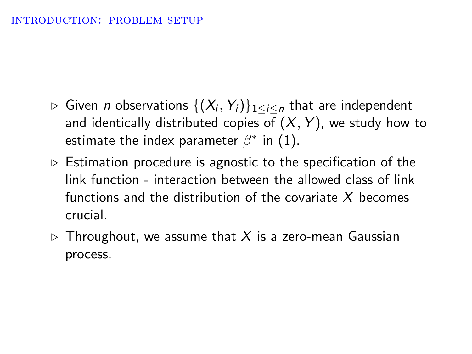- $\triangleright$  Given  $n$  observations  $\{(X_i,Y_i)\}_{1\leq i\leq n}$  that are independent and identically distributed copies of  $(X, Y)$ , we study how to estimate the index parameter  $\beta^*$  in [\(1\)](#page-3-0).
- $\triangleright$  Estimation procedure is agnostic to the specification of the link function - interaction between the allowed class of link functions and the distribution of the covariate X becomes crucial.
- $\triangleright$  Throughout, we assume that X is a zero-mean Gaussian process.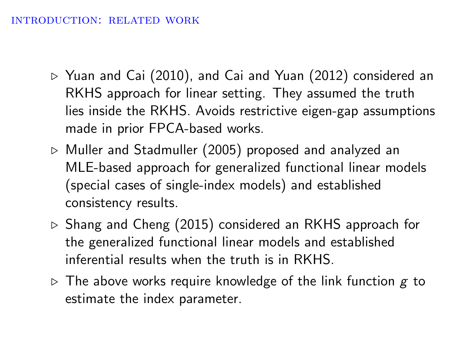#### introduction: related work

- $\triangleright$  Yuan and Cai (2010), and Cai and Yuan (2012) considered an RKHS approach for linear setting. They assumed the truth lies inside the RKHS. Avoids restrictive eigen-gap assumptions made in prior FPCA-based works.
- $\triangleright$  Muller and Stadmuller (2005) proposed and analyzed an MLE-based approach for generalized functional linear models (special cases of single-index models) and established consistency results.
- $\triangleright$  Shang and Cheng (2015) considered an RKHS approach for the generalized functional linear models and established inferential results when the truth is in RKHS.
- $\triangleright$  The above works require knowledge of the link function g to estimate the index parameter.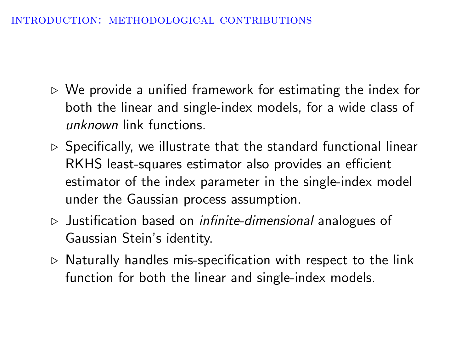#### introduction: methodological contributions

- $\triangleright$  We provide a unified framework for estimating the index for both the linear and single-index models, for a wide class of unknown link functions.
- $\triangleright$  Specifically, we illustrate that the standard functional linear RKHS least-squares estimator also provides an efficient estimator of the index parameter in the single-index model under the Gaussian process assumption.
- $\triangleright$  Justification based on *infinite-dimensional* analogues of Gaussian Stein's identity.
- $\triangleright$  Naturally handles mis-specification with respect to the link function for both the linear and single-index models.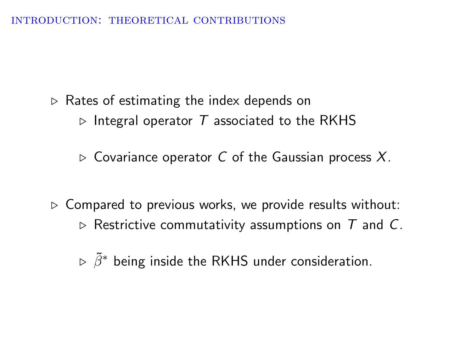INTRODUCTION: THEORETICAL CONTRIBUTIONS

 $\triangleright$  Rates of estimating the index depends on  $\triangleright$  Integral operator T associated to the RKHS

 $\triangleright$  Covariance operator C of the Gaussian process X.

 $\triangleright$  Compared to previous works, we provide results without:  $\triangleright$  Restrictive commutativity assumptions on T and C.

 $\triangleright$   $\tilde{\beta}^*$  being inside the RKHS under consideration.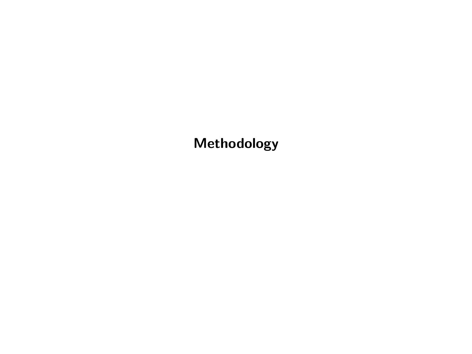Methodology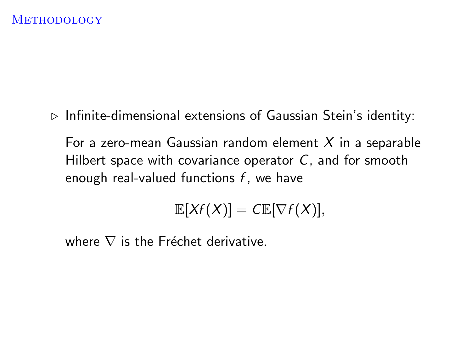$\triangleright$  Infinite-dimensional extensions of Gaussian Stein's identity:

For a zero-mean Gaussian random element  $X$  in a separable Hilbert space with covariance operator  $C$ , and for smooth enough real-valued functions  $f$ , we have

$$
\mathbb{E}[Xf(X)]=C\mathbb{E}[\nabla f(X)],
$$

where  $\nabla$  is the Fréchet derivative.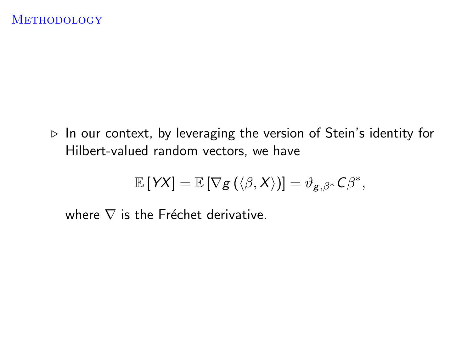$\triangleright$  In our context, by leveraging the version of Stein's identity for Hilbert-valued random vectors, we have

$$
\mathbb{E}[YX] = \mathbb{E}[\nabla g(\langle \beta, X \rangle)] = \vartheta_{g,\beta^*} C \beta^*,
$$

where  $\nabla$  is the Fréchet derivative.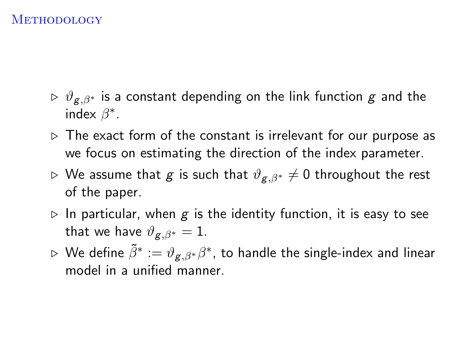- $\triangleright \vartheta_{g,\beta^*}$  is a constant depending on the link function g and the index  $\beta^*$ .
- $\triangleright$  The exact form of the constant is irrelevant for our purpose as we focus on estimating the direction of the index parameter.
- $\triangleright$  We assume that *g* is such that  $\vartheta_{g,\beta*} \neq 0$  throughout the rest of the paper.
- $\triangleright$  In particular, when g is the identity function, it is easy to see that we have  $\vartheta_{\mathbf{\alpha},\beta^*} = 1$ .
- $\triangleright$  We define  $\tilde{\beta}^*:=\vartheta_{\mathcal{B},\beta^*}\beta^*$ , to handle the single-index and linear model in a unified manner.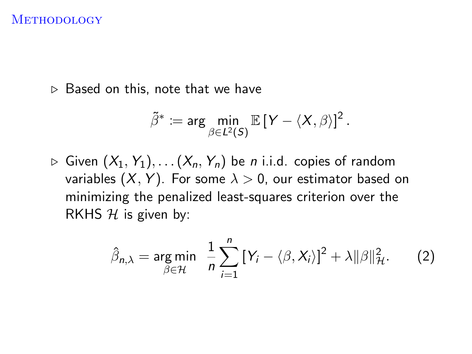$\triangleright$  Based on this, note that we have

$$
\tilde{\beta}^* \coloneqq \arg\min_{\beta \in L^2(S)} \mathbb{E}\left[Y - \langle X, \beta \rangle\right]^2.
$$

 $\triangleright$  Given  $(X_1, Y_1), \ldots (X_n, Y_n)$  be *n* i.i.d. copies of random variables  $(X, Y)$ . For some  $\lambda > 0$ , our estimator based on minimizing the penalized least-squares criterion over the RKHS  $H$  is given by:

$$
\hat{\beta}_{n,\lambda} = \underset{\beta \in \mathcal{H}}{\arg \min} \quad \frac{1}{n} \sum_{i=1}^{n} \left[ Y_i - \langle \beta, X_i \rangle \right]^2 + \lambda ||\beta||_{\mathcal{H}}^2. \tag{2}
$$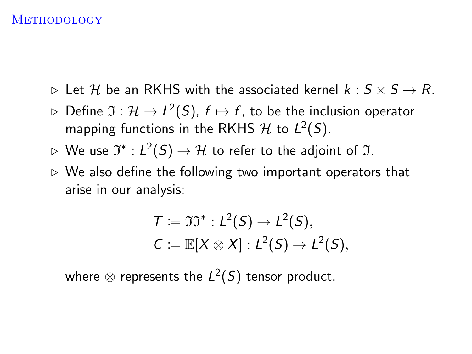- $\triangleright$  Let H be an RKHS with the associated kernel  $k : S \times S \rightarrow R$ .
- $\triangleright$  <code>Define</code>  $\mathfrak{I}:\mathcal{H}\rightarrow L^2(S),$   $f\mapsto f,$  to be the inclusion operator mapping functions in the RKHS  $\mathcal H$  to  $L^2(S)$ .
- $\triangleright$  We use  $\mathfrak{I}^*: L^2(S) \to \mathcal{H}$  to refer to the adjoint of  $\mathfrak{I}.$
- $\triangleright$  We also define the following two important operators that arise in our analysis:

$$
T := \mathfrak{II}^* : L^2(S) \to L^2(S),
$$
  

$$
C := \mathbb{E}[X \otimes X] : L^2(S) \to L^2(S),
$$

where  $\otimes$  represents the  $L^2(S)$  tensor product.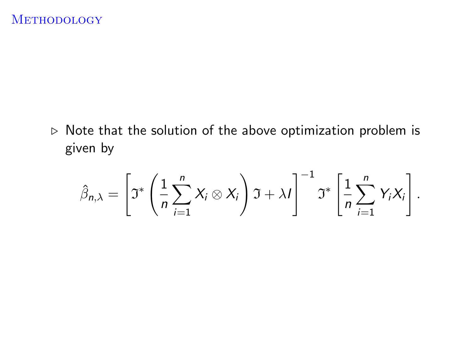$\triangleright$  Note that the solution of the above optimization problem is given by

$$
\hat{\beta}_{n,\lambda} = \left[\mathfrak{I}^*\left(\frac{1}{n}\sum_{i=1}^n X_i \otimes X_i\right)\mathfrak{I} + \lambda I\right]^{-1} \mathfrak{I}^*\left[\frac{1}{n}\sum_{i=1}^n Y_iX_i\right].
$$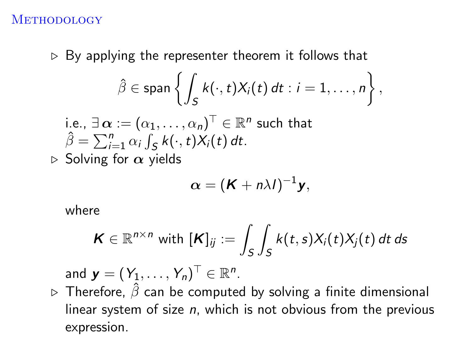$\triangleright$  By applying the representer theorem it follows that

$$
\hat{\beta} \in \text{span}\left\{\int_{S} k(\cdot,t)X_i(t) dt : i = 1,\ldots,n\right\},\
$$

i.e.,  $\exists\,\boldsymbol{\alpha}:=(\alpha_1,\ldots,\alpha_n)^\top\in\mathbb{R}^n$  such that  $\hat{\beta} = \sum_{i=1}^{n} \alpha_i \int_S k(\cdot,t) X_i(t) dt$ .

 $\triangleright$  Solving for  $\alpha$  yields

$$
\boldsymbol{\alpha} = (\boldsymbol{K} + n\lambda I)^{-1}\mathbf{y},
$$

where

$$
\boldsymbol{K} \in \mathbb{R}^{n \times n} \text{ with } [\boldsymbol{K}]_{ij} := \int_S \int_S k(t,s) X_i(t) X_j(t) \, dt \, ds
$$

and  $\boldsymbol{y}=(Y_1,\ldots,Y_n)^\top\in\mathbb{R}^n$ .

 $\triangleright$  Therefore,  $\hat{\beta}$  can be computed by solving a finite dimensional linear system of size n, which is not obvious from the previous expression.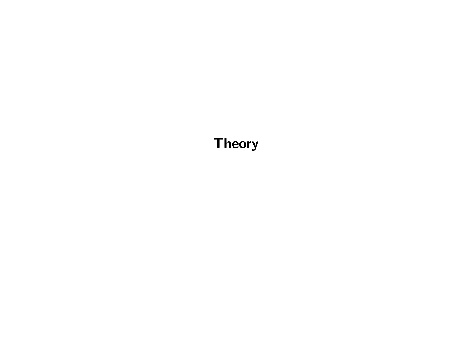Theory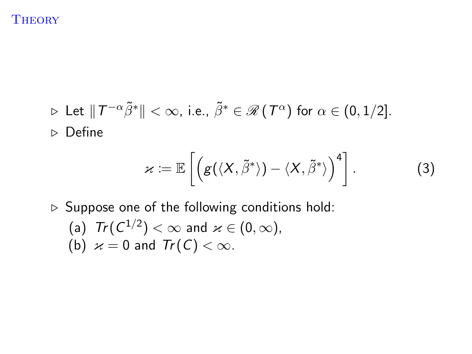$$
\triangleright \text{ Let } \|T^{-\alpha}\tilde{\beta}^*\| < \infty, \text{ i.e., } \tilde{\beta}^* \in \mathscr{R}(\mathcal{T}^{\alpha}) \text{ for } \alpha \in (0, 1/2].
$$
  

$$
\triangleright \text{ Define}
$$

$$
\varkappa := \mathbb{E}\left[\left(g(\langle X,\tilde{\beta}^*\rangle) - \langle X,\tilde{\beta}^*\rangle\right)^4\right].\tag{3}
$$

 $\triangleright$  Suppose one of the following conditions hold:

(a) 
$$
Tr(C^{1/2}) < \infty
$$
 and  $\varkappa \in (0, \infty)$ , (b)  $\varkappa = 0$  and  $Tr(C) < \infty$ .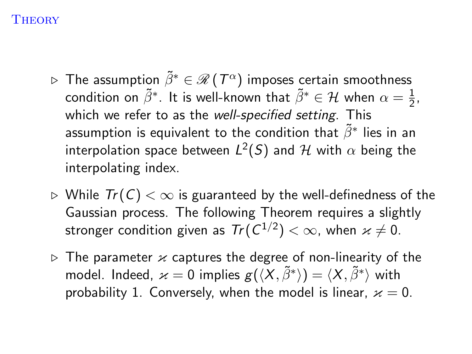- $\triangleright$  The assumption  $\tilde{\beta}^* \in \mathscr{R}$  (  $T^{\alpha})$  imposes certain smoothness condition on  $\tilde{\beta}^*$ . It is well-known that  $\tilde{\beta}^* \in \mathcal{H}$  when  $\alpha = \frac{1}{2}$  $\frac{1}{2}$ , which we refer to as the well-specified setting. This assumption is equivalent to the condition that  $\tilde{\beta}^*$  lies in an interpolation space between  $L^2(S)$  and  ${\mathcal H}$  with  $\alpha$  being the interpolating index.
- $\triangleright$  While  $Tr(C)$  < ∞ is guaranteed by the well-definedness of the Gaussian process. The following Theorem requires a slightly stronger condition given as  $\mathit{Tr}( \mathit{C}^{1/2})<\infty,$  when  $\varkappa\neq 0.$
- $\triangleright$  The parameter  $\varkappa$  captures the degree of non-linearity of the model. Indeed,  $\varkappa=0$  implies  $g(\langle X, \tilde{\beta}^*\rangle)=\langle X, \tilde{\beta}^*\rangle$  with probability 1. Conversely, when the model is linear,  $x = 0$ .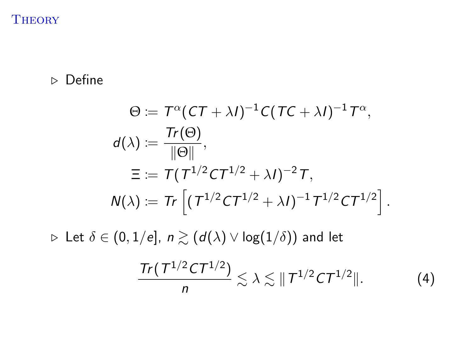## $\triangleright$  Define

$$
\Theta \coloneqq T^{\alpha} (CT + \lambda I)^{-1} C (TC + \lambda I)^{-1} T^{\alpha},
$$
  
\n
$$
d(\lambda) \coloneqq \frac{Tr(\Theta)}{\|\Theta\|},
$$
  
\n
$$
\Xi := T (T^{1/2} C T^{1/2} + \lambda I)^{-2} T,
$$
  
\n
$$
N(\lambda) \coloneqq Tr \left[ (T^{1/2} C T^{1/2} + \lambda I)^{-1} T^{1/2} C T^{1/2} \right].
$$

 $\triangleright$  Let  $\delta \in (0,1/e], n \gtrsim (d(\lambda) \vee \log(1/\delta))$  and let

$$
\frac{\operatorname{Tr}(\mathcal{T}^{1/2}\mathcal{C}\mathcal{T}^{1/2})}{n}\lesssim\lambda\lesssim\|\mathcal{T}^{1/2}\mathcal{C}\mathcal{T}^{1/2}\|.\tag{4}
$$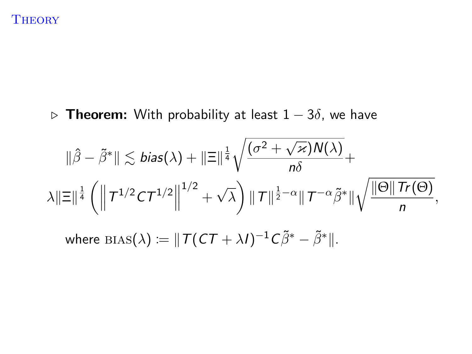$\triangleright$  Theorem: With probability at least 1 − 3 $\delta$ , we have

$$
\|\hat{\beta} - \tilde{\beta}^*\| \lesssim \text{bias}(\lambda) + \|\Xi\|^\frac{1}{4} \sqrt{\frac{(\sigma^2 + \sqrt{\varkappa})N(\lambda)}{n\delta}} + \lambda \|\Xi\|^\frac{1}{4} \left( \left\| T^{1/2} C T^{1/2} \right\|^{1/2} + \sqrt{\lambda} \right) \|\mathcal{T}\|^\frac{1}{2-\alpha} \|\mathcal{T}^{-\alpha}\tilde{\beta}^*\| \sqrt{\frac{\|\Theta\| \mathcal{T}r(\Theta)}{n}},
$$
\nwhere  $\text{bias}(\lambda) := \|\mathcal{T}(C\mathcal{T} + \lambda I)^{-1} C \tilde{\beta}^* - \tilde{\beta}^*\|.$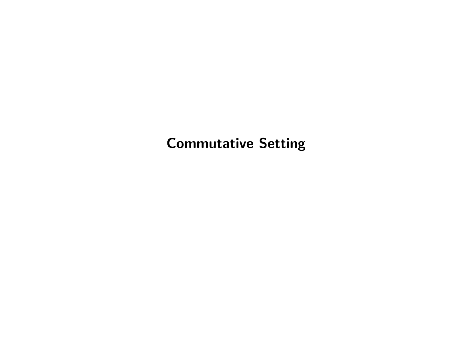# Commutative Setting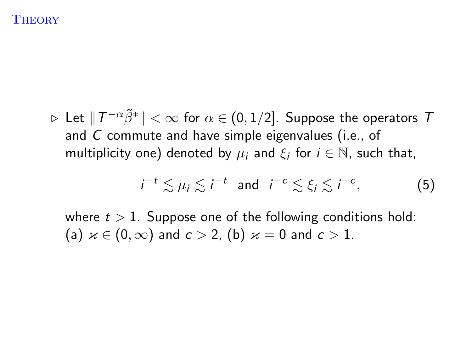$\triangleright$  Let  $\|\,T^{-\alpha}\tilde{\beta}^*\|<\infty$  for  $\alpha\in(0,1/2].$  Suppose the operators  $\,T$ and C commute and have simple eigenvalues (i.e., of multiplicity one) denoted by  $\mu_i$  and  $\xi_i$  for  $i \in \mathbb{N}$ , such that,

$$
i^{-t} \lesssim \mu_i \lesssim i^{-t} \text{ and } i^{-c} \lesssim \xi_i \lesssim i^{-c}, \tag{5}
$$

where  $t > 1$ . Suppose one of the following conditions hold: (a)  $x \in (0, \infty)$  and  $c > 2$ , (b)  $x = 0$  and  $c > 1$ .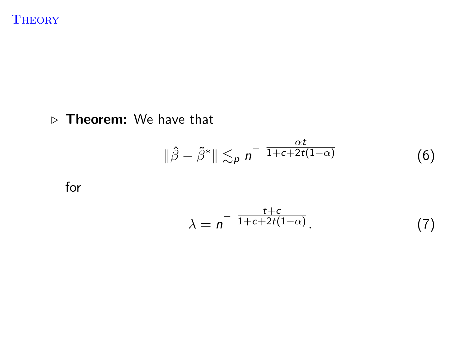# $\triangleright$  Theorem: We have that

$$
\|\hat{\beta}-\tilde{\beta}^*\| \lesssim_p n^{-\frac{\alpha t}{1+c+2t(1-\alpha)}} \tag{6}
$$

for

$$
\lambda = n^{-\frac{t+c}{1+c+2t(1-\alpha)}}.
$$
 (7)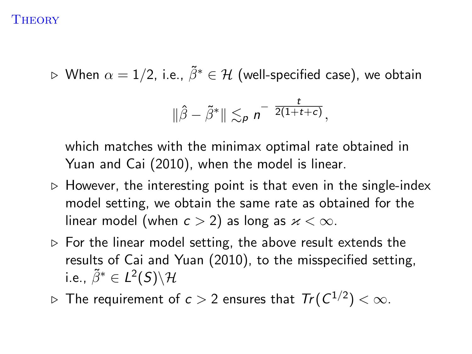$\triangleright$  When  $\alpha = 1/2$ , i.e.,  $\tilde{\beta}^* \in \mathcal{H}$  (well-specified case), we obtain

$$
\|\hat{\beta}-\tilde{\beta}^*\| \lesssim_p n^{-\frac{t}{2(1+t+c)}},
$$

which matches with the minimax optimal rate obtained in Yuan and Cai (2010), when the model is linear.

- $\triangleright$  However, the interesting point is that even in the single-index model setting, we obtain the same rate as obtained for the linear model (when  $c > 2$ ) as long as  $x < \infty$ .
- $\triangleright$  For the linear model setting, the above result extends the results of Cai and Yuan (2010), to the misspecified setting, i.e.,  $\tilde{\beta}^* \in L^2(S) \backslash \mathcal{H}$
- $\triangleright$  The requirement of  $c>2$  ensures that  $\mathit{Tr}(\mathit{C}^{1/2})<\infty.$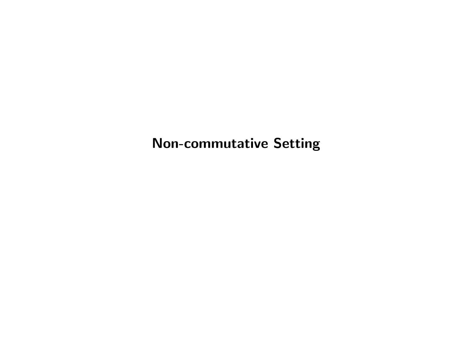Non-commutative Setting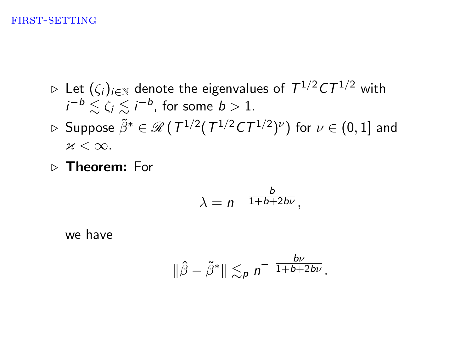#### first-setting

- $\triangleright$  Let  $(\zeta_i)_{i\in\mathbb{N}}$  denote the eigenvalues of  $\,T^{1/2}C T^{1/2}\,$  with  $i^{-b} \lesssim \zeta_i \lesssim i^{-b}$ , for some  $b > 1$ .  $\rhd$  Suppose  $\tilde{\beta}^* \in \mathscr{R}$  (  $\mathcal{T}^{1/2}(\mathcal{T}^{1/2}\mathcal{C}\mathcal{T}^{1/2})^{\nu})$  for  $\nu \in (0,1]$  and  $x < \infty$ .
- $\triangleright$  Theorem: For

$$
\lambda = n^{-\frac{b}{1+b+2b\nu}},
$$

we have

$$
\|\hat{\beta}-\tilde{\beta}^*\| \lesssim_p n^{-\frac{bv}{1+b+2bv}}.
$$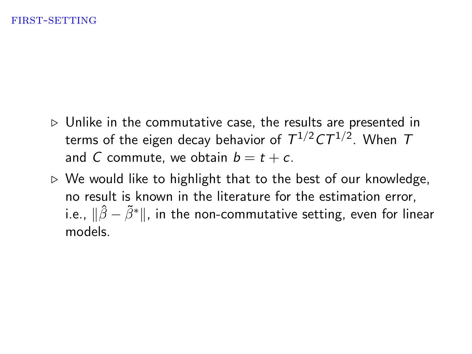- $\triangleright$  Unlike in the commutative case, the results are presented in terms of the eigen decay behavior of  $\,T^{1/2}C T^{1/2}.\,$  When  $\,$ and C commute, we obtain  $b = t + c$ .
- $\triangleright$  We would like to highlight that to the best of our knowledge, no result is known in the literature for the estimation error, i.e.,  $\|\hat{\beta} - \tilde{\beta}^*\|$ , in the non-commutative setting, even for linear models.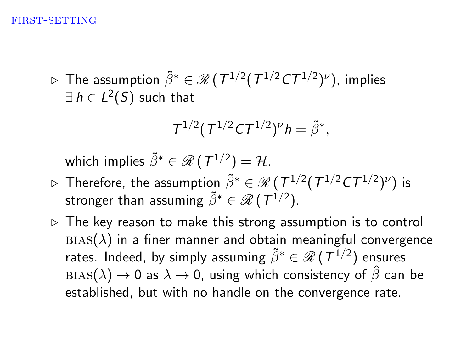$\triangleright$  The assumption  $\tilde{\beta}^* \in \mathscr{R}$  (  $\mathcal{T}^{1/2}(\,T^{1/2}C\mathcal{T}^{1/2})^\nu)$ , implies  $\exists\,h\in L^2(\mathcal{S})$  such that

$$
T^{1/2}(T^{1/2}CT^{1/2})^{\nu}h=\tilde{\beta}^*,
$$

which implies  $\tilde{\beta}^* \in \mathscr{R}$  (  $\mathcal{T}^{1/2}) = \mathcal{H}.$ 

- $\triangleright$  Therefore, the assumption  $\tilde{\beta}^* \in \mathscr{R}$  (  $\mathcal{T}^{1/2}(\mathcal{T}^{1/2}\mathcal{C}\mathcal{T}^{1/2})^\nu)$  is stronger than assuming  $\tilde{\beta}^* \in \mathscr{R}$  (  $\mathcal{T}^{1/2}$  ).
- $\triangleright$  The key reason to make this strong assumption is to control  $BIAS(\lambda)$  in a finer manner and obtain meaningful convergence rates. Indeed, by simply assuming  $\tilde{\beta}^* \in \mathscr{R} \, (\, \mathcal{T}^{1/2})$  ensures  $BIAS(\lambda) \rightarrow 0$  as  $\lambda \rightarrow 0$ , using which consistency of  $\hat{\beta}$  can be established, but with no handle on the convergence rate.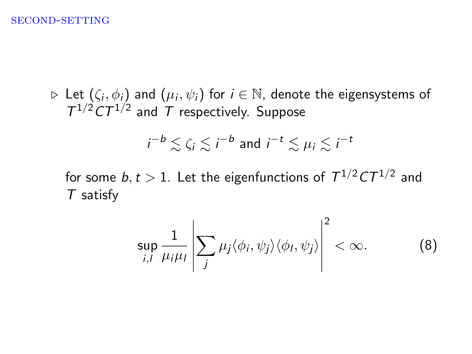#### second-setting

 $\triangleright$  Let  $(\zeta_i, \phi_i)$  and  $(\mu_i, \psi_i)$  for  $i \in \mathbb{N}$ , denote the eigensystems of  $T^{1/2}CT^{1/2}$  and T respectively. Suppose

$$
i^{-b} \lesssim \zeta_i \lesssim i^{-b}
$$
 and  $i^{-t} \lesssim \mu_i \lesssim i^{-t}$ 

for some  $b,t>1.$  Let the eigenfunctions of  $\, T^{1/2} C T^{1/2}$  and T satisfy

$$
\sup_{i,l} \frac{1}{\mu_i \mu_l} \left| \sum_j \mu_j \langle \phi_i, \psi_j \rangle \langle \phi_l, \psi_j \rangle \right|^2 < \infty.
$$
 (8)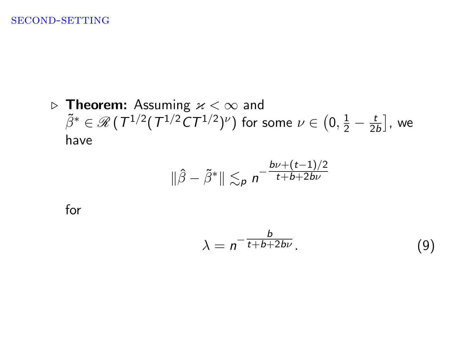#### second-setting

**Figure 1.** Assuming  $x < \infty$  and  $\tilde{\beta}^* \in \mathscr{R}$  (  $T^{1/2} (T^{1/2} C T^{1/2})^{\nu})$  for some  $\nu \in \big(0, \frac{1}{2} - \frac{t}{2\pi} \big)$  $\left[\frac{t}{2b}\right]$ , we have

$$
\|\hat{\beta}-\tilde{\beta}^*\| \lesssim_p n^{-\frac{b\nu+(t-1)/2}{t+b+2b\nu}}
$$

for

$$
\lambda = n^{-\frac{b}{t+b+2b\nu}}.\tag{9}
$$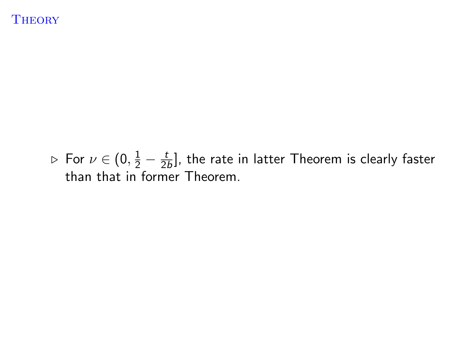$\triangleright$  For  $\nu \in (0, \frac{1}{2} - \frac{t}{2})$  $\frac{t}{2b}$ ], the rate in latter Theorem is clearly faster than that in former Theorem.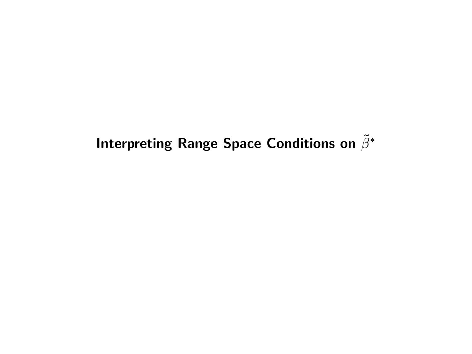# Interpreting Range Space Conditions on  $\tilde{\beta}^*$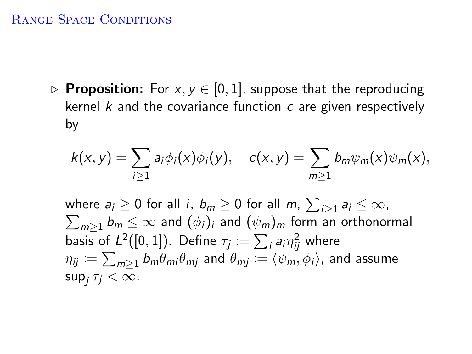## RANGE SPACE CONDITIONS

**▷ Proposition:** For  $x, y \in [0, 1]$ , suppose that the reproducing kernel  $k$  and the covariance function  $c$  are given respectively by

$$
k(x,y)=\sum_{i\geq 1}a_i\phi_i(x)\phi_i(y),\quad c(x,y)=\sum_{m\geq 1}b_m\psi_m(x)\psi_m(x),
$$

where  $a_i\geq 0$  for all  $i,~b_m\geq 0$  for all  $m,~\sum_{i\geq 1} a_i\leq \infty$ ,  $\sum_{m\geq 1} b_m \leq \infty$  and  $(\phi_i)_i$  and  $(\psi_m)_m$  form an orthonormal basis of  $L^2([0,1])$ . Define  $\tau_j\coloneqq\sum_i\mathsf{a}_i\eta_{ij}^2$  where  $\eta_{ij}\coloneqq\sum_{m\geq 1}b_m\theta_{mi}\theta_{mj}$  and  $\theta_{mj}\coloneqq\langle\psi_m,\phi_i\rangle$ , and assume  $\sup_j \tau_j < \infty$ .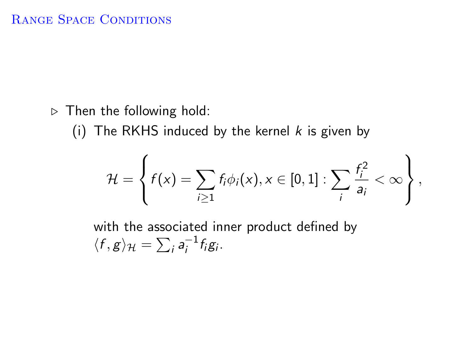$\triangleright$  Then the following hold:

(i) The RKHS induced by the kernel  $k$  is given by

$$
\mathcal{H} = \left\{ f(x) = \sum_{i \geq 1} f_i \phi_i(x), x \in [0,1] : \sum_i \frac{f_i^2}{a_i} < \infty \right\},\
$$

with the associated inner product defined by  $\langle f, g \rangle_{\mathcal{H}} = \sum_i a_i^{-1}$  $i^{-1}$ f<sub>i</sub>g<sub>i</sub>.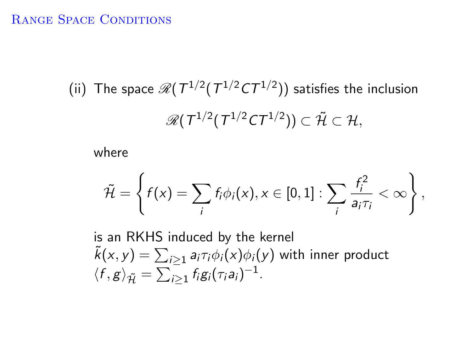## RANGE SPACE CONDITIONS

(ii) The space  $\mathscr{R}(T^{1/2} (T^{1/2} C T^{1/2}))$  satisfies the inclusion  $\mathscr{R}(\,T^{1/2}(\,T^{1/2}C\mathcal{T}^{1/2}))\subset \tilde{\mathcal{H}}\subset \mathcal{H},$ 

where

$$
\tilde{\mathcal{H}} = \left\{ f(x) = \sum_i f_i \phi_i(x), x \in [0,1] : \sum_i \frac{f_i^2}{a_i \tau_i} < \infty \right\},\
$$

is an RKHS induced by the kernel  $\tilde{k}(x,y)=\sum_{i\geq 1}a_i\tau_i\phi_i(x)\phi_i(y)$  with inner product  $\langle f, g \rangle_{\tilde{\mathcal{H}}} = \sum_{i \geq 1} f_i g_i(\tau_i a_i)^{-1}.$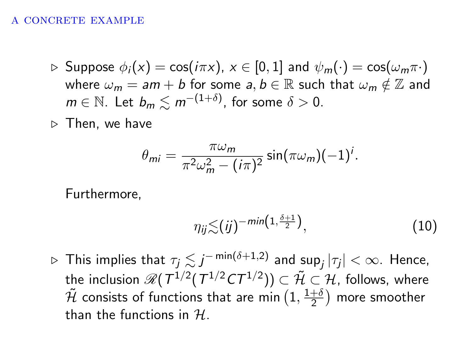#### A CONCRETE EXAMPLE

- $\triangleright$  Suppose  $\phi_i(x) = \cos(i\pi x), x \in [0,1]$  and  $\psi_m(\cdot) = \cos(\omega_m \pi \cdot)$ where  $\omega_m = am + b$  for some  $a, b \in \mathbb{R}$  such that  $\omega_m \notin \mathbb{Z}$  and  $m\in\mathbb{N}.$  Let  $b_m\lesssim m^{-(1+\delta)},$  for some  $\delta>0.$
- $\triangleright$  Then, we have

$$
\theta_{mi} = \frac{\pi \omega_m}{\pi^2 \omega_m^2 - (i\pi)^2} \sin(\pi \omega_m)(-1)^i.
$$

Furthermore,

$$
\eta_{ij} \lesssim (ij)^{-\min\left(1,\frac{\delta+1}{2}\right)},\tag{10}
$$

 $\triangleright$  This implies that  $\tau_j\lesssim j^{-\min(\delta+1,2)}$  and sup $_j|\tau_j|<\infty.$  Hence, the inclusion  $\mathscr{R}(\,T^{1/2}(\,T^{1/2}C\mathcal{T}^{1/2}))\subset\mathcal{\tilde{H}}\subset\mathcal{H},$  follows, where  $\tilde{\mathcal{H}}$  consists of functions that are min  $(1,\frac{1+\delta}{2})$  $\frac{+ \delta}{2}$ ) more smoother than the functions in  $H$ .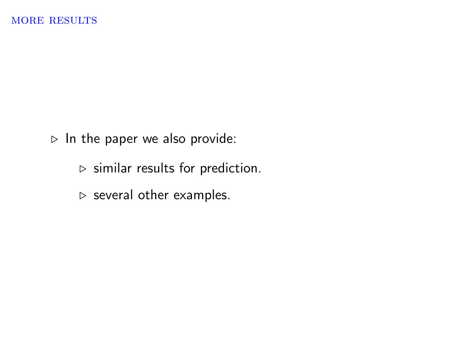$\triangleright$  In the paper we also provide:

- $\rhd$  similar results for prediction.
- $\triangleright$  several other examples.